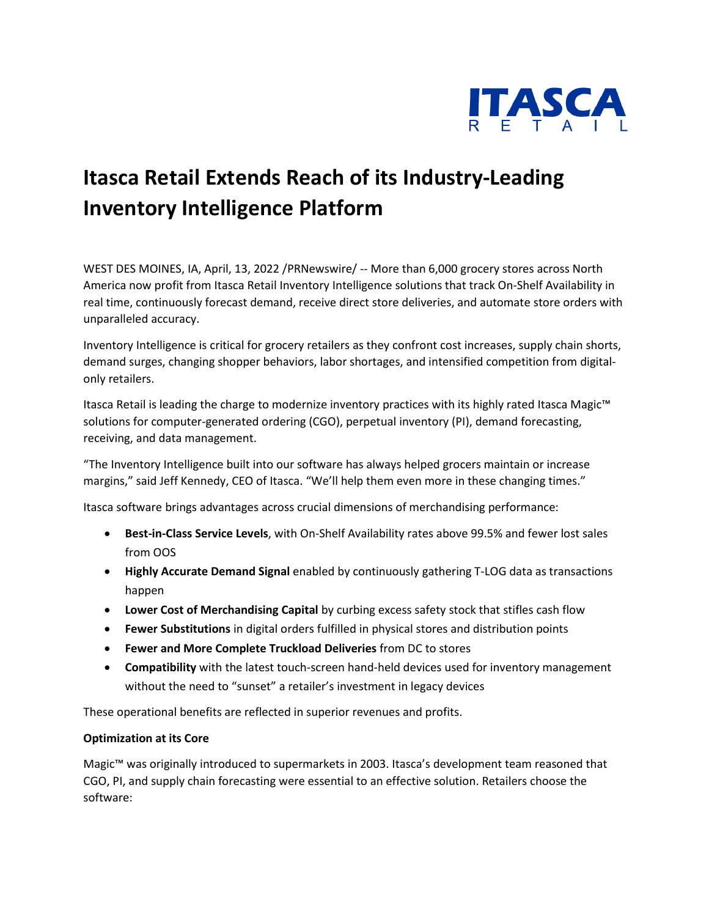

## **Itasca Retail Extends Reach of its Industry-Leading Inventory Intelligence Platform**

WEST DES MOINES, IA, April, 13, 2022 /PRNewswire/ -- More than 6,000 grocery stores across North America now profit from Itasca Retail Inventory Intelligence solutions that track On-Shelf Availability in real time, continuously forecast demand, receive direct store deliveries, and automate store orders with unparalleled accuracy.

Inventory Intelligence is critical for grocery retailers as they confront cost increases, supply chain shorts, demand surges, changing shopper behaviors, labor shortages, and intensified competition from digitalonly retailers.

Itasca Retail is leading the charge to modernize inventory practices with its highly rated Itasca Magic™ solutions for computer-generated ordering (CGO), perpetual inventory (PI), demand forecasting, receiving, and data management.

"The Inventory Intelligence built into our software has always helped grocers maintain or increase margins," said Jeff Kennedy, CEO of Itasca. "We'll help them even more in these changing times."

Itasca software brings advantages across crucial dimensions of merchandising performance:

- **Best-in-Class Service Levels**, with On-Shelf Availability rates above 99.5% and fewer lost sales from OOS
- **Highly Accurate Demand Signal** enabled by continuously gathering T-LOG data as transactions happen
- **Lower Cost of Merchandising Capital** by curbing excess safety stock that stifles cash flow
- **Fewer Substitutions** in digital orders fulfilled in physical stores and distribution points
- **Fewer and More Complete Truckload Deliveries** from DC to stores
- **Compatibility** with the latest touch-screen hand-held devices used for inventory management without the need to "sunset" a retailer's investment in legacy devices

These operational benefits are reflected in superior revenues and profits.

## **Optimization at its Core**

Magic™ was originally introduced to supermarkets in 2003. Itasca's development team reasoned that CGO, PI, and supply chain forecasting were essential to an effective solution. Retailers choose the software: